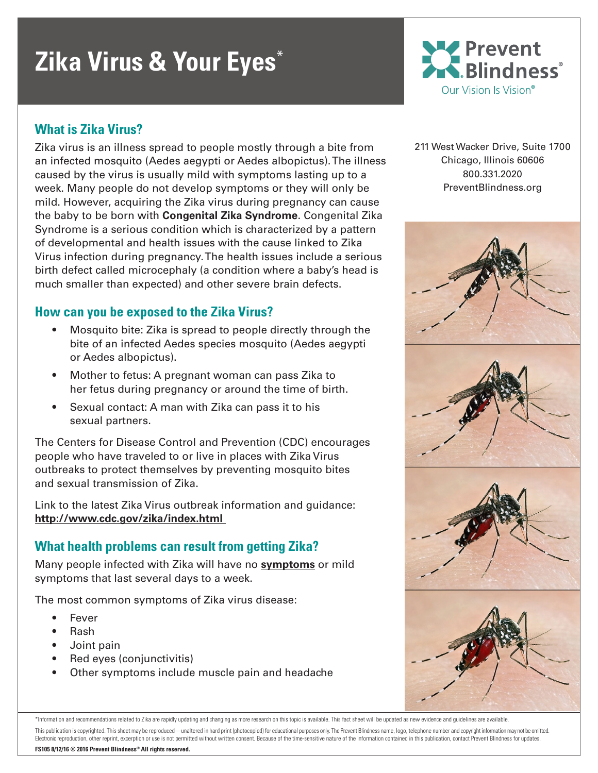# **Zika Virus & Your Eyes**\*

# **What is Zika Virus?**

Zika virus is an illness spread to people mostly through a bite from an infected mosquito (Aedes aegypti or Aedes albopictus). The illness caused by the virus is usually mild with symptoms lasting up to a week. Many people do not develop symptoms or they will only be mild. However, acquiring the Zika virus during pregnancy can cause the baby to be born with **Congenital Zika Syndrome**. Congenital Zika Syndrome is a serious condition which is characterized by a pattern of developmental and health issues with the cause linked to Zika Virus infection during pregnancy. The health issues include a serious birth defect called microcephaly (a condition where a baby's head is much smaller than expected) and other severe brain defects.

# **How can you be exposed to the Zika Virus?**

- Mosquito bite: Zika is spread to people directly through the bite of an infected Aedes species mosquito (Aedes aegypti or Aedes albopictus).
- Mother to fetus: A pregnant woman can pass Zika to her fetus during pregnancy or around the time of birth.
- Sexual contact: A man with Zika can pass it to his sexual partners.

The Centers for Disease Control and Prevention (CDC) encourages people who have traveled to or live in places with Zika Virus outbreaks to protect themselves by preventing mosquito bites and sexual transmission of Zika.

Link to the latest Zika Virus outbreak information and guidance: **http://www.cdc.gov/zika/index.html** 

# **What health problems can result from getting Zika?**

Many people infected with Zika will have no **[symptoms](http://www.cdc.gov/zika/symptoms/index.html)** or mild symptoms that last several days to a week.

The most common symptoms of Zika virus disease:

- **Fever**
- Rash
- Joint pain
- Red eyes (conjunctivitis)
- Other symptoms include muscle pain and headache



211 West Wacker Drive, Suite 1700 Chicago, Illinois 60606 800.331.2020 PreventBlindness.org



\*Information and recommendations related to Zika are rapidly updating and changing as more research on this topic is available. This fact sheet will be updated as new evidence and guidelines are available. This publication is copyrighted. This sheet may be reproduced—unaltered in hard print (photocopied) for educational purposes only. The Prevent Blindness name, logo, telephone number and copyright information may not be omi Electronic reproduction, other reprint, excerption or use is not permitted without written consent. Because of the time-sensitive nature of the information contained in this publication, contact Prevent Blindness for updat **FS105 8/12/16 © 2016 Prevent Blindness® All rights reserved.**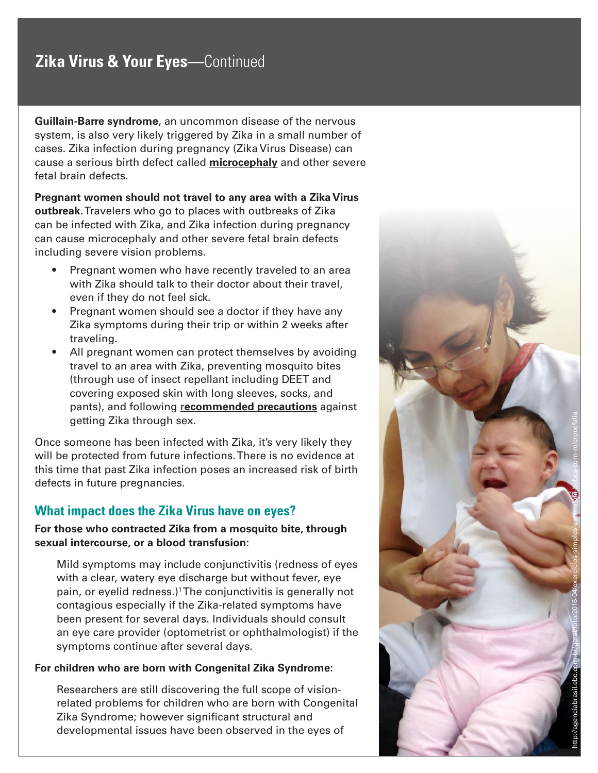# **Zika Virus & Your Eyes—**Continued

**[Guillain-Barre syndrome](http://www.cdc.gov/zika/healtheffects/gbs-qa.html)**, an uncommon disease of the nervous system, is also very likely triggered by Zika in a small number of cases. Zika infection during pregnancy (Zika Virus Disease) can cause a serious birth defect called **[microcephaly](http://www.cdc.gov/ncbddd/birthdefects/microcephaly.html)** and other severe fetal brain defects.

**Pregnant women should not travel to any area with a Zika Virus outbreak.** Travelers who go to places with outbreaks of Zika can be infected with Zika, and Zika infection during pregnancy can cause microcephaly and other severe fetal brain defects including severe vision problems.

- Pregnant women who have recently traveled to an area with Zika should talk to their doctor about their travel, even if they do not feel sick.
- Pregnant women should see a doctor if they have any Zika symptoms during their trip or within 2 weeks after traveling.
- All pregnant women can protect themselves by avoiding travel to an area with Zika, preventing mosquito bites (through use of insect repellant including DEET and covering exposed skin with long sleeves, socks, and pants), and following **r[ecommended precautions](http://www.cdc.gov/zika/prevention/index.html)** against getting Zika through sex.

Once someone has been infected with Zika, it's very likely they will be protected from future infections. There is no evidence at this time that past Zika infection poses an increased risk of birth defects in future pregnancies.

# **What impact does the Zika Virus have on eyes?**

#### **For those who contracted Zika from a mosquito bite, through sexual intercourse, or a blood transfusion:**

Mild symptoms may include conjunctivitis (redness of eyes with a clear, watery eye discharge but without fever, eye pain, or eyelid redness.) 1 The conjunctivitis is generally not contagious especially if the Zika-related symptoms have been present for several days. Individuals should consult an eye care provider (optometrist or ophthalmologist) if the symptoms continue after several days.

#### **For children who are born with Congenital Zika Syndrome:**

Researchers are still discovering the full scope of visionrelated problems for children who are born with Congenital Zika Syndrome; however significant structural and developmental issues have been observed in the eyes of

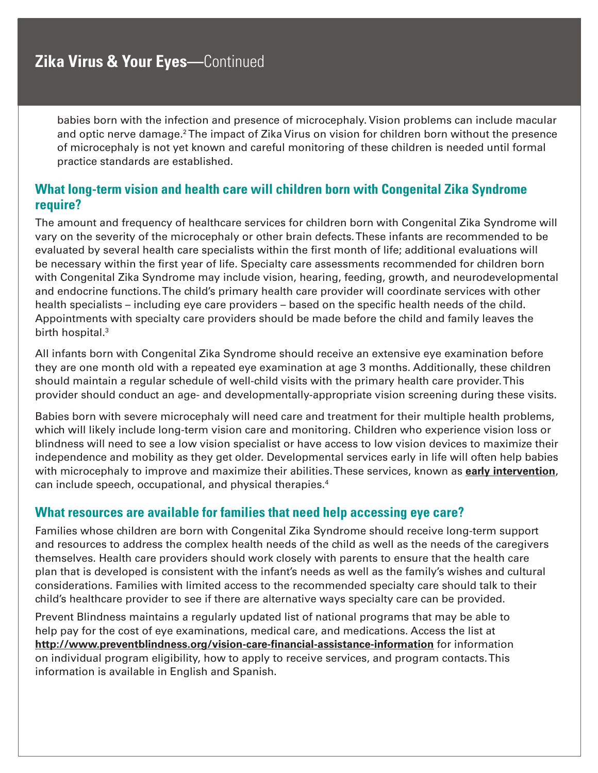babies born with the infection and presence of microcephaly. Vision problems can include macular and optic nerve damage.<sup>2</sup> The impact of Zika Virus on vision for children born without the presence of microcephaly is not yet known and careful monitoring of these children is needed until formal practice standards are established.

# **What long-term vision and health care will children born with Congenital Zika Syndrome require?**

The amount and frequency of healthcare services for children born with Congenital Zika Syndrome will vary on the severity of the microcephaly or other brain defects. These infants are recommended to be evaluated by several health care specialists within the first month of life; additional evaluations will be necessary within the first year of life. Specialty care assessments recommended for children born with Congenital Zika Syndrome may include vision, hearing, feeding, growth, and neurodevelopmental and endocrine functions. The child's primary health care provider will coordinate services with other health specialists – including eye care providers – based on the specific health needs of the child. Appointments with specialty care providers should be made before the child and family leaves the birth hospital.<sup>3</sup>

All infants born with Congenital Zika Syndrome should receive an extensive eye examination before they are one month old with a repeated eye examination at age 3 months. Additionally, these children should maintain a regular schedule of well-child visits with the primary health care provider. This provider should conduct an age- and developmentally-appropriate vision screening during these visits.

Babies born with severe microcephaly will need care and treatment for their multiple health problems, which will likely include long-term vision care and monitoring. Children who experience vision loss or blindness will need to see a low vision specialist or have access to low vision devices to maximize their independence and mobility as they get older. Developmental services early in life will often help babies with microcephaly to improve and maximize their abilities. These services, known as **[early intervention](http://www.parentcenterhub.org/repository/ei-overview/)**, can include speech, occupational, and physical therapies.4

# **What resources are available for families that need help accessing eye care?**

Families whose children are born with Congenital Zika Syndrome should receive long-term support and resources to address the complex health needs of the child as well as the needs of the caregivers themselves. Health care providers should work closely with parents to ensure that the health care plan that is developed is consistent with the infant's needs as well as the family's wishes and cultural considerations. Families with limited access to the recommended specialty care should talk to their child's healthcare provider to see if there are alternative ways specialty care can be provided.

Prevent Blindness maintains a regularly updated list of national programs that may be able to help pay for the cost of eye examinations, medical care, and medications. Access the list at **http://www.preventblindness.org/vision-care-financial-assistance-information** for information on individual program eligibility, how to apply to receive services, and program contacts. This information is available in English and Spanish.